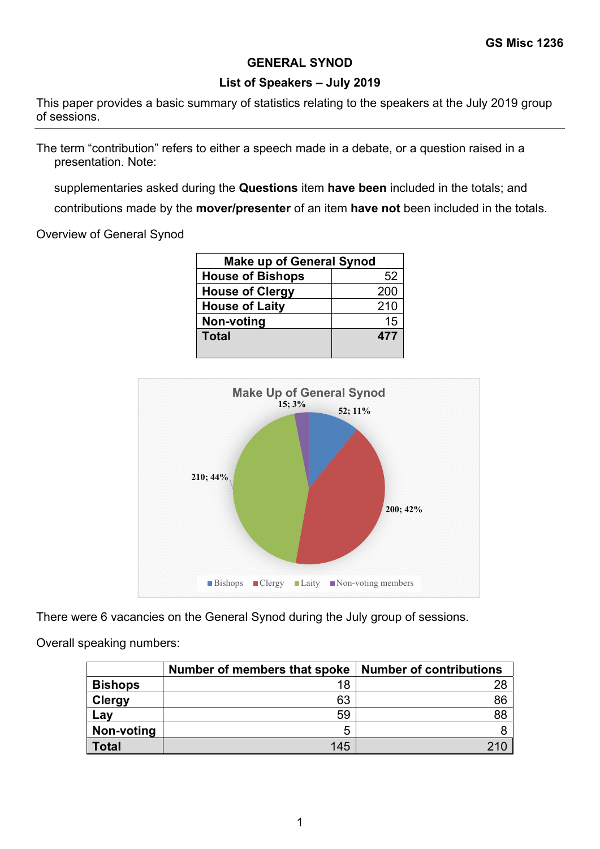## **GENERAL SYNOD**

## **List of Speakers – July 2019**

This paper provides a basic summary of statistics relating to the speakers at the July 2019 group of sessions.

The term "contribution" refers to either a speech made in a debate, or a question raised in a presentation. Note:

supplementaries asked during the **Questions** item **have been** included in the totals; and

contributions made by the **mover/presenter** of an item **have not** been included in the totals.

Overview of General Synod

| <b>Make up of General Synod</b> |     |  |  |  |
|---------------------------------|-----|--|--|--|
| <b>House of Bishops</b>         | 52  |  |  |  |
| <b>House of Clergy</b>          | 200 |  |  |  |
| <b>House of Laity</b>           | 210 |  |  |  |
| Non-voting                      | 15  |  |  |  |
| <b>Total</b>                    | 477 |  |  |  |
|                                 |     |  |  |  |



There were 6 vacancies on the General Synod during the July group of sessions.

Overall speaking numbers:

|                 | Number of members that spoke | <b>Number of contributions</b> |
|-----------------|------------------------------|--------------------------------|
| <b>Bishops</b>  | 18                           | 28                             |
| <b>Clergy</b>   | 63                           | 86                             |
| $\mathsf{L}$ av | 59                           | 88                             |
| Non-voting      | 5                            |                                |
| Total           | 145                          |                                |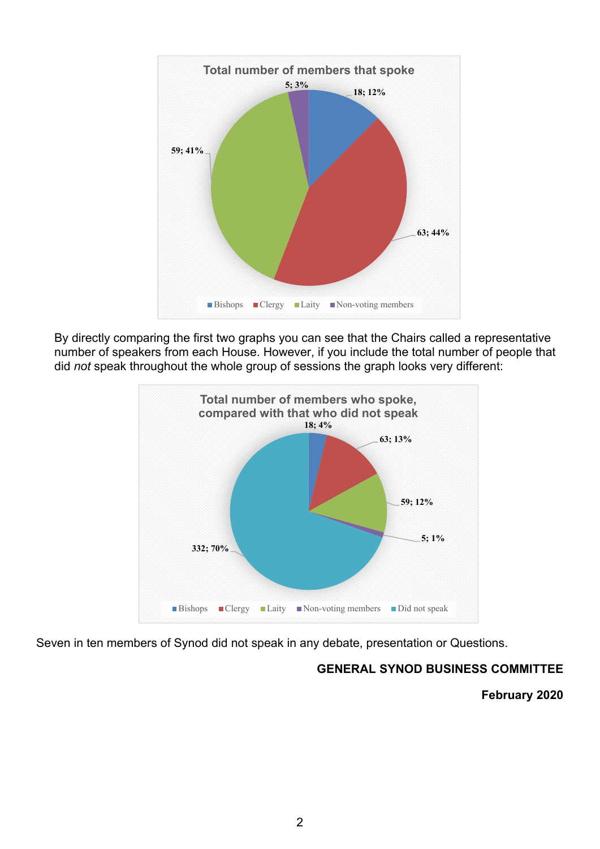

By directly comparing the first two graphs you can see that the Chairs called a representative number of speakers from each House. However, if you include the total number of people that did *not* speak throughout the whole group of sessions the graph looks very different:



Seven in ten members of Synod did not speak in any debate, presentation or Questions.

## **GENERAL SYNOD BUSINESS COMMITTEE**

**February 2020**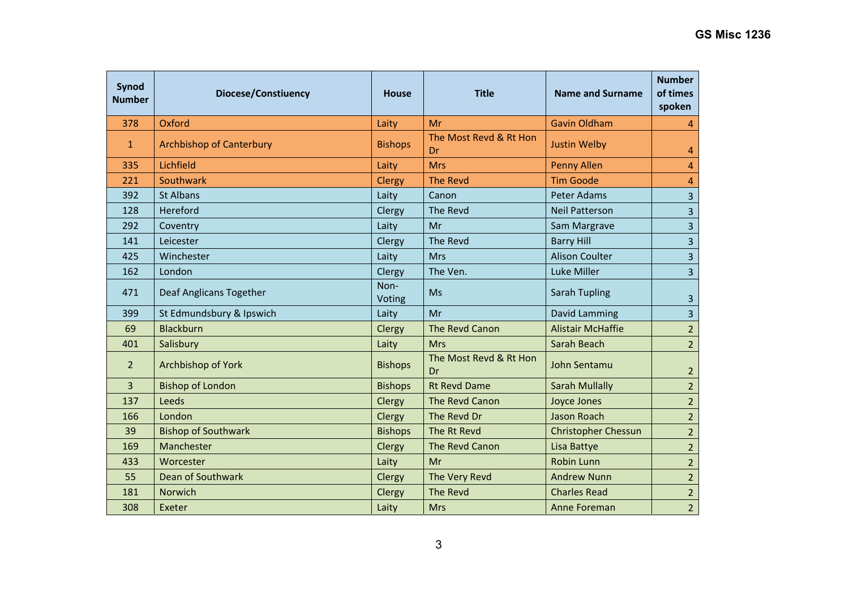| Synod<br><b>Number</b> | Diocese/Constiuency             | House          | <b>Title</b>                 | Name and Surname           | <b>Number</b><br>of times<br>spoken |
|------------------------|---------------------------------|----------------|------------------------------|----------------------------|-------------------------------------|
| 378                    | Oxford                          | Laity          | Mr                           | <b>Gavin Oldham</b>        | 4                                   |
| $\mathbf{1}$           | <b>Archbishop of Canterbury</b> | <b>Bishops</b> | The Most Revd & Rt Hon<br>Dr | <b>Justin Welby</b>        | 4                                   |
| 335                    | Lichfield                       | Laity          | <b>Mrs</b>                   | <b>Penny Allen</b>         | $\overline{4}$                      |
| 221                    | Southwark                       | Clergy         | <b>The Revd</b>              | <b>Tim Goode</b>           | $\overline{4}$                      |
| 392                    | <b>St Albans</b>                | Laity          | Canon                        | <b>Peter Adams</b>         | $\overline{3}$                      |
| 128                    | Hereford                        | Clergy         | The Revd                     | <b>Neil Patterson</b>      | $\overline{3}$                      |
| 292                    | Coventry                        | Laity          | Mr                           | Sam Margrave               | $\overline{\mathbf{3}}$             |
| 141                    | Leicester                       | Clergy         | The Revd                     | <b>Barry Hill</b>          | $\overline{\mathbf{3}}$             |
| 425                    | Winchester                      | Laity          | <b>Mrs</b>                   | <b>Alison Coulter</b>      | $\overline{3}$                      |
| 162                    | London                          | Clergy         | The Ven.                     | Luke Miller                | $\overline{3}$                      |
| 471                    | Deaf Anglicans Together         | Non-<br>Voting | <b>Ms</b>                    | <b>Sarah Tupling</b>       | $\overline{3}$                      |
| 399                    | St Edmundsbury & Ipswich        | Laity          | Mr                           | David Lamming              | $\overline{3}$                      |
| 69                     | <b>Blackburn</b>                | Clergy         | The Revd Canon               | <b>Alistair McHaffie</b>   | $\overline{2}$                      |
| 401                    | Salisbury                       | Laity          | <b>Mrs</b>                   | Sarah Beach                | $\overline{2}$                      |
| $\overline{2}$         | Archbishop of York              | <b>Bishops</b> | The Most Revd & Rt Hon<br>Dr | John Sentamu               | $\overline{2}$                      |
| 3                      | <b>Bishop of London</b>         | <b>Bishops</b> | <b>Rt Revd Dame</b>          | <b>Sarah Mullally</b>      | $\overline{2}$                      |
| 137                    | Leeds                           | Clergy         | The Revd Canon               | <b>Joyce Jones</b>         | $\overline{2}$                      |
| 166                    | London                          | Clergy         | The Revd Dr                  | Jason Roach                | $\overline{2}$                      |
| 39                     | <b>Bishop of Southwark</b>      | <b>Bishops</b> | The Rt Revd                  | <b>Christopher Chessun</b> | $\overline{2}$                      |
| 169                    | Manchester                      | Clergy         | The Revd Canon               | Lisa Battye                | $\overline{2}$                      |
| 433                    | Worcester                       | Laity          | Mr                           | <b>Robin Lunn</b>          | $\overline{2}$                      |
| 55                     | Dean of Southwark               | Clergy         | The Very Revd                | <b>Andrew Nunn</b>         | $\overline{2}$                      |
| 181                    | Norwich                         | Clergy         | <b>The Revd</b>              | <b>Charles Read</b>        | $\overline{2}$                      |
| 308                    | Exeter                          | Laity          | <b>Mrs</b>                   | Anne Foreman               | $\overline{2}$                      |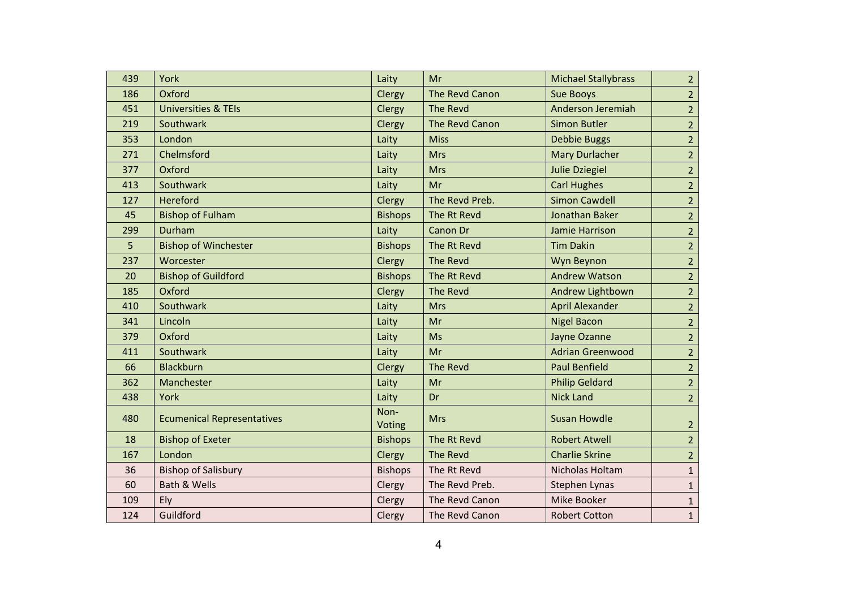| 439 | York                              | Laity                 | Mr              | <b>Michael Stallybrass</b> | 2 <sup>2</sup> |
|-----|-----------------------------------|-----------------------|-----------------|----------------------------|----------------|
| 186 | Oxford                            | Clergy                | The Revd Canon  | <b>Sue Booys</b>           | 2 <sup>1</sup> |
| 451 | <b>Universities &amp; TEIs</b>    | Clergy                | The Revd        | Anderson Jeremiah          | 2 <sup>2</sup> |
| 219 | Southwark                         | Clergy                | The Revd Canon  | <b>Simon Butler</b>        | 2 <sup>2</sup> |
| 353 | London                            | Laity                 | <b>Miss</b>     | <b>Debbie Buggs</b>        | 2 <sup>2</sup> |
| 271 | Chelmsford                        | Laity                 | <b>Mrs</b>      | <b>Mary Durlacher</b>      | $\overline{2}$ |
| 377 | Oxford                            | Laity                 | <b>Mrs</b>      | <b>Julie Dziegiel</b>      | 2 <sup>2</sup> |
| 413 | Southwark                         | Laity                 | Mr              | <b>Carl Hughes</b>         | 2 <sup>2</sup> |
| 127 | Hereford                          | Clergy                | The Revd Preb.  | <b>Simon Cawdell</b>       | $\overline{2}$ |
| 45  | <b>Bishop of Fulham</b>           | <b>Bishops</b>        | The Rt Revd     | <b>Jonathan Baker</b>      | $\overline{2}$ |
| 299 | Durham                            | Laity                 | <b>Canon Dr</b> | Jamie Harrison             | 2 <sup>1</sup> |
| 5   | <b>Bishop of Winchester</b>       | <b>Bishops</b>        | The Rt Revd     | <b>Tim Dakin</b>           | $\overline{2}$ |
| 237 | Worcester                         | Clergy                | The Revd        | Wyn Beynon                 | $\overline{2}$ |
| 20  | <b>Bishop of Guildford</b>        | <b>Bishops</b>        | The Rt Revd     | <b>Andrew Watson</b>       | $\overline{2}$ |
| 185 | Oxford                            | Clergy                | The Revd        | Andrew Lightbown           | 2 <sup>1</sup> |
| 410 | Southwark                         | Laity                 | <b>Mrs</b>      | <b>April Alexander</b>     | 2 <sup>2</sup> |
| 341 | Lincoln                           | Laity                 | Mr              | <b>Nigel Bacon</b>         | 2 <sup>1</sup> |
| 379 | Oxford                            | Laity                 | <b>Ms</b>       | Jayne Ozanne               | 2 <sup>1</sup> |
| 411 | Southwark                         | Laity                 | Mr              | <b>Adrian Greenwood</b>    | 2 <sup>1</sup> |
| 66  | <b>Blackburn</b>                  | Clergy                | <b>The Revd</b> | <b>Paul Benfield</b>       | 2 <sup>1</sup> |
| 362 | Manchester                        | Laity                 | Mr              | <b>Philip Geldard</b>      | 2 <sup>1</sup> |
| 438 | York                              | Laity                 | Dr              | <b>Nick Land</b>           | 2 <sup>1</sup> |
| 480 | <b>Ecumenical Representatives</b> | Non-<br><b>Voting</b> | <b>Mrs</b>      | <b>Susan Howdle</b>        | $\overline{2}$ |
| 18  | <b>Bishop of Exeter</b>           | <b>Bishops</b>        | The Rt Revd     | <b>Robert Atwell</b>       | $\overline{2}$ |
| 167 | London                            | Clergy                | The Revd        | <b>Charlie Skrine</b>      | $\overline{2}$ |
| 36  | <b>Bishop of Salisbury</b>        | <b>Bishops</b>        | The Rt Revd     | Nicholas Holtam            | $\mathbf{1}$   |
| 60  | <b>Bath &amp; Wells</b>           | Clergy                | The Revd Preb.  | Stephen Lynas              | $\mathbf{1}$   |
| 109 | Ely                               | Clergy                | The Revd Canon  | Mike Booker                | $\mathbf 1$    |
| 124 | Guildford                         | Clergy                | The Revd Canon  | <b>Robert Cotton</b>       | $\mathbf{1}$   |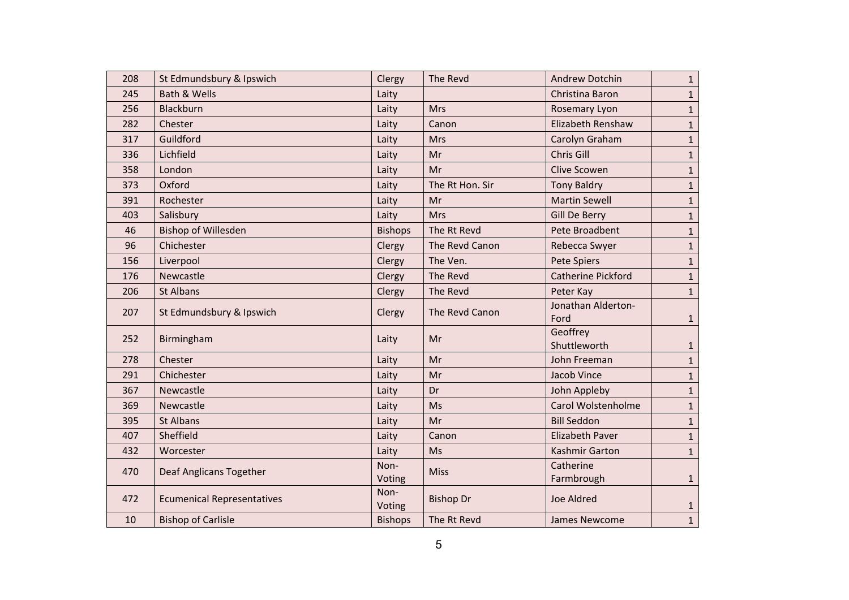| 208 | St Edmundsbury & Ipswich          | Clergy         | The Revd         | <b>Andrew Dotchin</b>     | 1            |
|-----|-----------------------------------|----------------|------------------|---------------------------|--------------|
| 245 | Bath & Wells                      | Laity          |                  | Christina Baron           | 1            |
| 256 | Blackburn                         | Laity          | <b>Mrs</b>       | Rosemary Lyon             | $\mathbf{1}$ |
| 282 | Chester                           | Laity          | Canon            | Elizabeth Renshaw         | 1            |
| 317 | Guildford                         | Laity          | <b>Mrs</b>       | Carolyn Graham            | $\mathbf{1}$ |
| 336 | Lichfield                         | Laity          | Mr               | Chris Gill                | 1            |
| 358 | London                            | Laity          | Mr               | <b>Clive Scowen</b>       | $\mathbf{1}$ |
| 373 | Oxford                            | Laity          | The Rt Hon. Sir  | <b>Tony Baldry</b>        | $\mathbf{1}$ |
| 391 | Rochester                         | Laity          | Mr               | <b>Martin Sewell</b>      | $\mathbf{1}$ |
| 403 | Salisbury                         | Laity          | <b>Mrs</b>       | Gill De Berry             | 1            |
| 46  | <b>Bishop of Willesden</b>        | <b>Bishops</b> | The Rt Revd      | Pete Broadbent            | $\mathbf{1}$ |
| 96  | Chichester                        | Clergy         | The Revd Canon   | Rebecca Swyer             | $\mathbf{1}$ |
| 156 | Liverpool                         | Clergy         | The Ven.         | <b>Pete Spiers</b>        | $\mathbf{1}$ |
| 176 | Newcastle                         | Clergy         | The Revd         | <b>Catherine Pickford</b> | 1            |
| 206 | <b>St Albans</b>                  | Clergy         | The Revd         | Peter Kay                 | $\mathbf{1}$ |
| 207 | St Edmundsbury & Ipswich          | Clergy         | The Revd Canon   | Jonathan Alderton-        |              |
|     |                                   |                |                  | Ford                      | $\mathbf{1}$ |
| 252 | Birmingham                        | Laity          | Mr               | Geoffrey<br>Shuttleworth  | $\mathbf{1}$ |
| 278 | Chester                           | Laity          | Mr               | John Freeman              | 1            |
| 291 | Chichester                        | Laity          | Mr               | Jacob Vince               | 1            |
| 367 | Newcastle                         | Laity          | Dr               | John Appleby              | $\mathbf{1}$ |
| 369 | Newcastle                         | Laity          | Ms               | Carol Wolstenholme        | 1            |
| 395 | <b>St Albans</b>                  | Laity          | Mr               | <b>Bill Seddon</b>        | $\mathbf{1}$ |
| 407 | Sheffield                         | Laity          | Canon            | <b>Elizabeth Paver</b>    | 1            |
| 432 | Worcester                         | Laity          | Ms               | <b>Kashmir Garton</b>     | $\mathbf{1}$ |
|     |                                   | Non-           |                  | Catherine                 |              |
| 470 | Deaf Anglicans Together           | Voting         | <b>Miss</b>      | Farmbrough                | $\mathbf{1}$ |
| 472 | <b>Ecumenical Representatives</b> | Non-           | <b>Bishop Dr</b> | <b>Joe Aldred</b>         |              |
|     |                                   | Voting         |                  |                           | $\mathbf{1}$ |
| 10  | <b>Bishop of Carlisle</b>         | <b>Bishops</b> | The Rt Revd      | <b>James Newcome</b>      | $\mathbf{1}$ |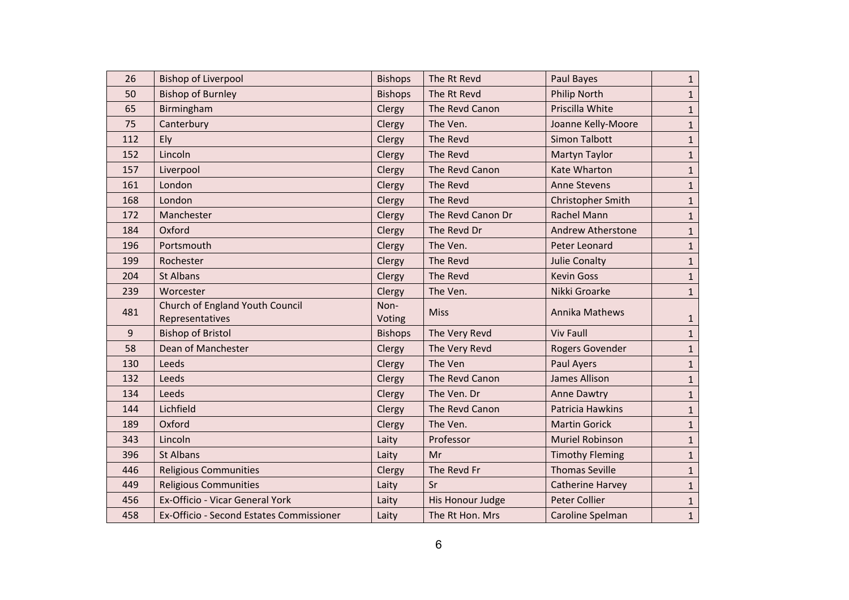| 26    | <b>Bishop of Liverpool</b>                         | <b>Bishops</b> | The Rt Revd       | Paul Bayes               | $\mathbf{1}$ |
|-------|----------------------------------------------------|----------------|-------------------|--------------------------|--------------|
| 50    | <b>Bishop of Burnley</b>                           | <b>Bishops</b> | The Rt Revd       | <b>Philip North</b>      | 1            |
| 65    | Birmingham                                         | Clergy         | The Revd Canon    | Priscilla White          | $\mathbf{1}$ |
| 75    | Canterbury                                         | Clergy         | The Ven.          | Joanne Kelly-Moore       | 1            |
| 112   | Ely                                                | Clergy         | The Revd          | <b>Simon Talbott</b>     | $\mathbf{1}$ |
| 152   | Lincoln                                            | Clergy         | The Revd          | Martyn Taylor            | 1            |
| 157   | Liverpool                                          | Clergy         | The Revd Canon    | <b>Kate Wharton</b>      | $\mathbf{1}$ |
| 161   | London                                             | Clergy         | The Revd          | <b>Anne Stevens</b>      | $\mathbf{1}$ |
| 168   | London                                             | Clergy         | The Revd          | Christopher Smith        | $\mathbf{1}$ |
| 172   | Manchester                                         | Clergy         | The Revd Canon Dr | <b>Rachel Mann</b>       | 1            |
| 184   | Oxford                                             | Clergy         | The Revd Dr       | <b>Andrew Atherstone</b> | $\mathbf{1}$ |
| 196   | Portsmouth                                         | Clergy         | The Ven.          | Peter Leonard            | 1            |
| 199   | Rochester                                          | Clergy         | The Revd          | <b>Julie Conalty</b>     | $\mathbf{1}$ |
| 204   | <b>St Albans</b>                                   | Clergy         | The Revd          | <b>Kevin Goss</b>        | 1            |
| 239   | Worcester                                          | Clergy         | The Ven.          | Nikki Groarke            | 1            |
| 481   | Church of England Youth Council<br>Representatives | Non-<br>Voting | <b>Miss</b>       | Annika Mathews           | $\mathbf{1}$ |
| $9\,$ | <b>Bishop of Bristol</b>                           | <b>Bishops</b> | The Very Revd     | <b>Viv Faull</b>         | $\mathbf{1}$ |
| 58    | Dean of Manchester                                 | Clergy         | The Very Revd     | Rogers Govender          | 1            |
| 130   | Leeds                                              | Clergy         | The Ven           | <b>Paul Ayers</b>        | $\mathbf 1$  |
| 132   | Leeds                                              | Clergy         | The Revd Canon    | <b>James Allison</b>     | 1            |
| 134   | Leeds                                              | Clergy         | The Ven. Dr       | <b>Anne Dawtry</b>       | $\mathbf{1}$ |
| 144   | Lichfield                                          | Clergy         | The Revd Canon    | Patricia Hawkins         | $\mathbf 1$  |
| 189   | Oxford                                             | Clergy         | The Ven.          | <b>Martin Gorick</b>     | $\mathbf{1}$ |
| 343   | Lincoln                                            | Laity          | Professor         | <b>Muriel Robinson</b>   | $\mathbf{1}$ |
| 396   | <b>St Albans</b>                                   | Laity          | Mr                | <b>Timothy Fleming</b>   | $\mathbf{1}$ |
| 446   | <b>Religious Communities</b>                       | Clergy         | The Revd Fr       | <b>Thomas Seville</b>    | 1            |
| 449   | <b>Religious Communities</b>                       | Laity          | Sr                | <b>Catherine Harvey</b>  | $\mathbf{1}$ |
| 456   | Ex-Officio - Vicar General York                    | Laity          | His Honour Judge  | <b>Peter Collier</b>     | $\mathbf{1}$ |
| 458   | Ex-Officio - Second Estates Commissioner           | Laity          | The Rt Hon. Mrs   | Caroline Spelman         | $\mathbf 1$  |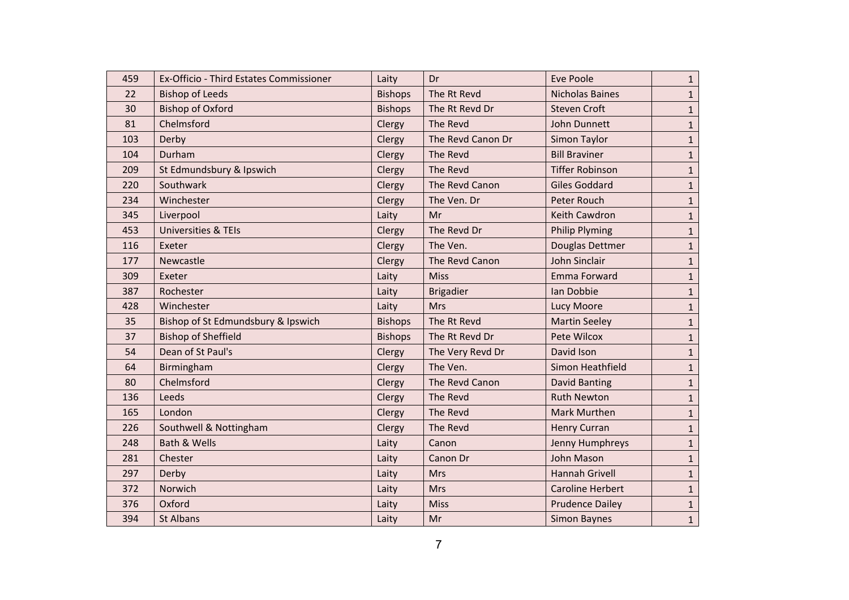| 459 | Ex-Officio - Third Estates Commissioner | Laity          | Dr                | Eve Poole               | $\mathbf{1}$ |
|-----|-----------------------------------------|----------------|-------------------|-------------------------|--------------|
| 22  | <b>Bishop of Leeds</b>                  | <b>Bishops</b> | The Rt Revd       | <b>Nicholas Baines</b>  | 1            |
| 30  | <b>Bishop of Oxford</b>                 | <b>Bishops</b> | The Rt Revd Dr    | <b>Steven Croft</b>     | $\mathbf{1}$ |
| 81  | Chelmsford                              | Clergy         | The Revd          | John Dunnett            | 1            |
| 103 | Derby                                   | Clergy         | The Revd Canon Dr | Simon Taylor            | $\mathbf{1}$ |
| 104 | Durham                                  | Clergy         | The Revd          | <b>Bill Braviner</b>    | 1            |
| 209 | St Edmundsbury & Ipswich                | Clergy         | The Revd          | <b>Tiffer Robinson</b>  | $\mathbf{1}$ |
| 220 | Southwark                               | Clergy         | The Revd Canon    | <b>Giles Goddard</b>    | 1            |
| 234 | Winchester                              | Clergy         | The Ven. Dr       | Peter Rouch             | $\mathbf{1}$ |
| 345 | Liverpool                               | Laity          | Mr                | Keith Cawdron           | 1            |
| 453 | <b>Universities &amp; TEIs</b>          | Clergy         | The Revd Dr       | <b>Philip Plyming</b>   | 1            |
| 116 | Exeter                                  | Clergy         | The Ven.          | Douglas Dettmer         | 1            |
| 177 | Newcastle                               | Clergy         | The Revd Canon    | John Sinclair           | $\mathbf{1}$ |
| 309 | Exeter                                  | Laity          | <b>Miss</b>       | Emma Forward            | 1            |
| 387 | Rochester                               | Laity          | <b>Brigadier</b>  | Ian Dobbie              | $\mathbf{1}$ |
| 428 | Winchester                              | Laity          | <b>Mrs</b>        | <b>Lucy Moore</b>       | 1            |
| 35  | Bishop of St Edmundsbury & Ipswich      | <b>Bishops</b> | The Rt Revd       | <b>Martin Seeley</b>    | $\mathbf{1}$ |
| 37  | <b>Bishop of Sheffield</b>              | <b>Bishops</b> | The Rt Revd Dr    | Pete Wilcox             | 1            |
| 54  | Dean of St Paul's                       | Clergy         | The Very Revd Dr  | David Ison              | 1            |
| 64  | Birmingham                              | Clergy         | The Ven.          | Simon Heathfield        | 1            |
| 80  | Chelmsford                              | Clergy         | The Revd Canon    | <b>David Banting</b>    | $\mathbf{1}$ |
| 136 | Leeds                                   | Clergy         | The Revd          | <b>Ruth Newton</b>      | $\mathbf{1}$ |
| 165 | London                                  | Clergy         | The Revd          | Mark Murthen            | $\mathbf{1}$ |
| 226 | Southwell & Nottingham                  | Clergy         | The Revd          | <b>Henry Curran</b>     | 1            |
| 248 | <b>Bath &amp; Wells</b>                 | Laity          | Canon             | Jenny Humphreys         | $\mathbf{1}$ |
| 281 | Chester                                 | Laity          | Canon Dr          | <b>John Mason</b>       | $\mathbf{1}$ |
| 297 | Derby                                   | Laity          | <b>Mrs</b>        | <b>Hannah Grivell</b>   | 1            |
| 372 | Norwich                                 | Laity          | <b>Mrs</b>        | <b>Caroline Herbert</b> | $\mathbf{1}$ |
| 376 | Oxford                                  | Laity          | <b>Miss</b>       | <b>Prudence Dailey</b>  | $\mathbf{1}$ |
| 394 | <b>St Albans</b>                        | Laity          | Mr                | <b>Simon Baynes</b>     | $\mathbf{1}$ |